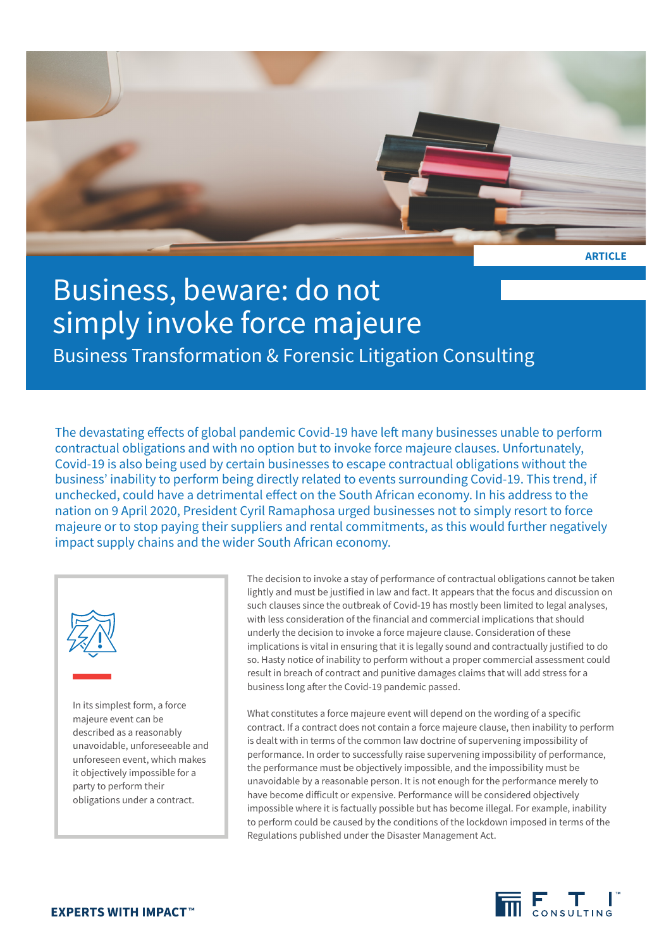

**ARTICLE**

# Business, beware: do not simply invoke force majeure

Business Transformation & Forensic Litigation Consulting

The devastating effects of global pandemic Covid-19 have left many businesses unable to perform contractual obligations and with no option but to invoke force majeure clauses. Unfortunately, Covid-19 is also being used by certain businesses to escape contractual obligations without the business' inability to perform being directly related to events surrounding Covid-19. This trend, if unchecked, could have a detrimental effect on the South African economy. In his address to the nation on 9 April 2020, President Cyril Ramaphosa urged businesses not to simply resort to force majeure or to stop paying their suppliers and rental commitments, as this would further negatively impact supply chains and the wider South African economy.



In its simplest form, a force majeure event can be described as a reasonably unavoidable, unforeseeable and unforeseen event, which makes it objectively impossible for a party to perform their obligations under a contract.

The decision to invoke a stay of performance of contractual obligations cannot be taken lightly and must be justified in law and fact. It appears that the focus and discussion on such clauses since the outbreak of Covid-19 has mostly been limited to legal analyses, with less consideration of the financial and commercial implications that should underly the decision to invoke a force majeure clause. Consideration of these implications is vital in ensuring that it is legally sound and contractually justified to do so. Hasty notice of inability to perform without a proper commercial assessment could result in breach of contract and punitive damages claims that will add stress for a business long after the Covid-19 pandemic passed.

What constitutes a force majeure event will depend on the wording of a specific contract. If a contract does not contain a force majeure clause, then inability to perform is dealt with in terms of the common law doctrine of supervening impossibility of performance. In order to successfully raise supervening impossibility of performance, the performance must be objectively impossible, and the impossibility must be unavoidable by a reasonable person. It is not enough for the performance merely to have become difficult or expensive. Performance will be considered objectively impossible where it is factually possible but has become illegal. For example, inability to perform could be caused by the conditions of the lockdown imposed in terms of the Regulations published under the Disaster Management Act.

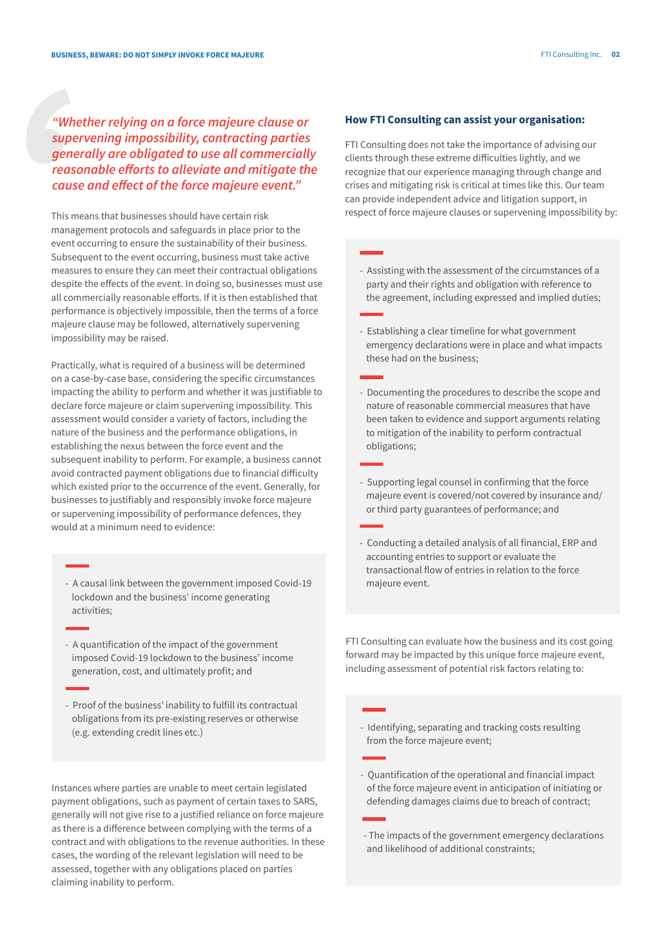### *"Whether relying on a force majeure clause or supervening impossibility, contracting parties generally are obligated to use all commercially reasonable efforts to alleviate and mitigate the cause and effect of the force majeure event."*

This means that businesses should have certain risk management protocols and safeguards in place prior to the event occurring to ensure the sustainability of their business. Subsequent to the event occurring, business must take active measures to ensure they can meet their contractual obligations despite the effects of the event. In doing so, businesses must use all commercially reasonable efforts. If it is then established that performance is objectively impossible, then the terms of a force majeure clause may be followed, alternatively supervening impossibility may be raised.

Practically, what is required of a business will be determined on a case-by-case base, considering the specific circumstances impacting the ability to perform and whether it was justifiable to declare force majeure or claim supervening impossibility. This assessment would consider a variety of factors, including the nature of the business and the performance obligations, in establishing the nexus between the force event and the subsequent inability to perform. For example, a business cannot avoid contracted payment obligations due to financial difficulty which existed prior to the occurrence of the event. Generally, for businesses to justifiably and responsibly invoke force majeure or supervening impossibility of performance defences, they would at a minimum need to evidence:

- A causal link between the government imposed Covid-19 lockdown and the business' income generating activities;
- A quantification of the impact of the government imposed Covid-19 lockdown to the business' income generation, cost, and ultimately profit; and
- Proof of the business' inability to fulfill its contractual obligations from its pre-existing reserves or otherwise (e.g. extending credit lines etc.)

Instances where parties are unable to meet certain legislated payment obligations, such as payment of certain taxes to SARS, generally will not give rise to a justified reliance on force majeure as there is a difference between complying with the terms of a contract and with obligations to the revenue authorities. In these cases, the wording of the relevant legislation will need to be assessed, together with any obligations placed on parties claiming inability to perform.

#### **How FTI Consulting can assist your organisation:**

FTI Consulting does not take the importance of advising our clients through these extreme difficulties lightly, and we recognize that our experience managing through change and crises and mitigating risk is critical at times like this. Our team can provide independent advice and litigation support, in respect of force majeure clauses or supervening impossibility by:

- Assisting with the assessment of the circumstances of a party and their rights and obligation with reference to the agreement, including expressed and implied duties;
- Establishing a clear timeline for what government emergency declarations were in place and what impacts these had on the business;
- Documenting the procedures to describe the scope and nature of reasonable commercial measures that have been taken to evidence and support arguments relating to mitigation of the inability to perform contractual obligations;
- Supporting legal counsel in confirming that the force majeure event is covered/not covered by insurance and/ or third party guarantees of performance; and
- Conducting a detailed analysis of all financial, ERP and accounting entries to support or evaluate the transactional flow of entries in relation to the force majeure event.

FTI Consulting can evaluate how the business and its cost going forward may be impacted by this unique force majeure event, including assessment of potential risk factors relating to:

- Identifying, separating and tracking costs resulting from the force majeure event;
- Quantification of the operational and financial impact of the force majeure event in anticipation of initiating or defending damages claims due to breach of contract;
- The impacts of the government emergency declarations and likelihood of additional constraints;